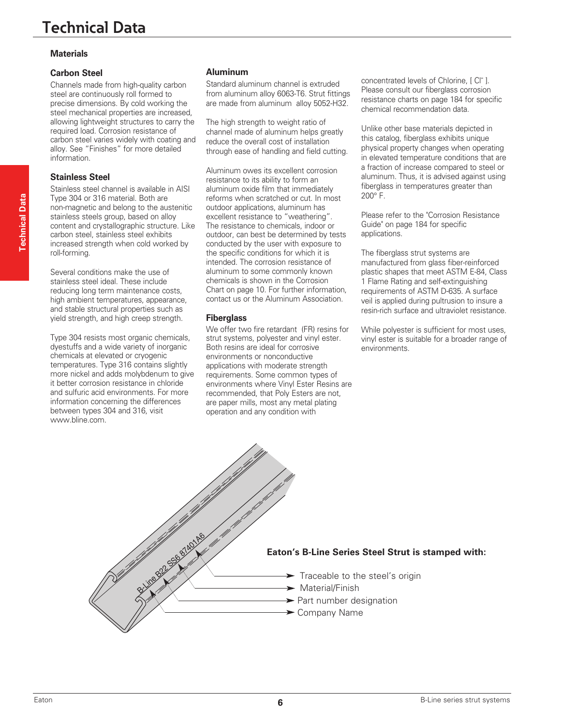## **Materials**

### **Carbon Steel**

Channels made from high-quality carbon steel are continuously roll formed to precise dimensions. By cold working the steel mechanical properties are increased, allowing lightweight structures to carry the required load. Corrosion resistance of carbon steel varies widely with coating and alloy. See "Finishes" for more detailed information.

#### **Stainless Steel**

Stainless steel channel is available in AISI Type 304 or 316 material. Both are non-magnetic and belong to the austenitic stainless steels group, based on alloy content and crystallographic structure. Like carbon steel, stainless steel exhibits increased strength when cold worked by roll-forming.

Several conditions make the use of stainless steel ideal. These include reducing long term maintenance costs, high ambient temperatures, appearance, and stable structural properties such as yield strength, and high creep strength.

Type 304 resists most organic chemicals, dyestuffs and a wide variety of inorganic chemicals at elevated or cryogenic temperatures. Type 316 contains slightly more nickel and adds molybdenum to give it better corrosion resistance in chloride and sulfuric acid environments. For more information concerning the differences between types 304 and 316, visit www.bline.com.

### **Aluminum**

Standard aluminum channel is extruded from aluminum alloy 6063-T6. Strut fittings are made from aluminum alloy 5052-H32.

The high strength to weight ratio of channel made of aluminum helps greatly reduce the overall cost of installation through ease of handling and field cutting.

Aluminum owes its excellent corrosion resistance to its ability to form an aluminum oxide film that immediately reforms when scratched or cut. In most outdoor applications, aluminum has excellent resistance to "weathering". The resistance to chemicals, indoor or outdoor, can best be determined by tests conducted by the user with exposure to the specific conditions for which it is intended. The corrosion resistance of aluminum to some commonly known chemicals is shown in the Corrosion Chart on page 10. For further information, contact us or the Aluminum Association.

#### **Fiberglass**

We offer two fire retardant (FR) resins for strut systems, polyester and vinyl ester. Both resins are ideal for corrosive environments or nonconductive applications with moderate strength requirements. Some common types of environments where Vinyl Ester Resins are recommended, that Poly Esters are not, are paper mills, most any metal plating operation and any condition with

concentrated levels of Chlorine, [ C| ]. Please consult our fiberglass corrosion resistance charts on page 184 for specific chemical recommendation data.

Unlike other base materials depicted in this catalog, fiberglass exhibits unique physical property changes when operating in elevated temperature conditions that are a fraction of increase compared to steel or aluminum. Thus, it is advised against using fiberglass in temperatures greater than 200° F.

Please refer to the "Corrosion Resistance Guide" on page 184 for specific applications.

The fiberglass strut systems are manufactured from glass fiber-reinforced plastic shapes that meet ASTM E-84, Class 1 Flame Rating and self-extinguishing requirements of ASTM D-635. A surface veil is applied during pultrusion to insure a resin-rich surface and ultraviolet resistance.

While polyester is sufficient for most uses, vinyl ester is suitable for a broader range of environments.

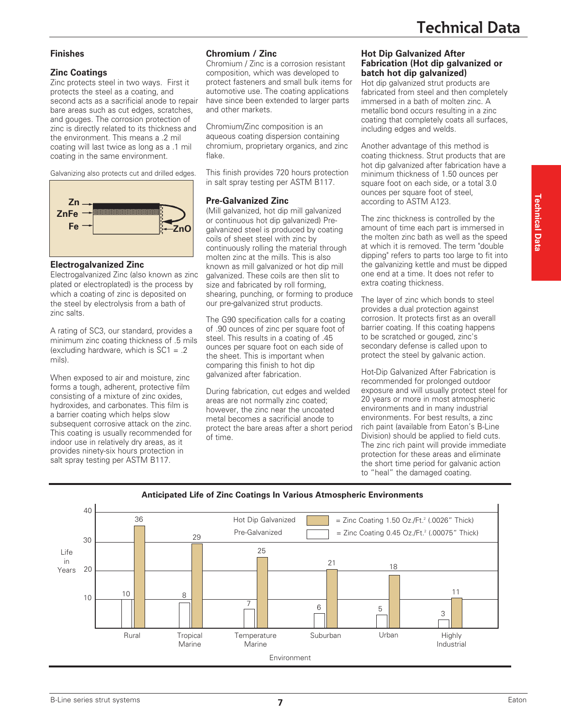### **Finishes**

### **Zinc Coatings**

Zinc protects steel in two ways. First it protects the steel as a coating, and second acts as a sacrificial anode to repair bare areas such as cut edges, scratches, and gouges. The corrosion protection of zinc is directly related to its thickness and the environment. This means a .2 mil coating will last twice as long as a .1 mil coating in the same environment.

Galvanizing also protects cut and drilled edges.



### **Electrogalvanized Zinc**

Electrogalvanized Zinc (also known as zinc plated or electroplated) is the process by which a coating of zinc is deposited on the steel by electrolysis from a bath of zinc salts.

A rating of SC3, our standard, provides a minimum zinc coating thickness of .5 mils (excluding hardware, which is  $SC1 = .2$ mils).

When exposed to air and moisture, zinc forms a tough, adherent, protective film consisting of a mixture of zinc oxides, hydroxides, and carbonates. This film is a barrier coating which helps slow subsequent corrosive attack on the zinc. This coating is usually recommended for indoor use in relatively dry areas, as it provides ninety-six hours protection in salt spray testing per ASTM B117.

### **Chromium / Zinc**

Chromium / Zinc is a corrosion resistant composition, which was developed to protect fasteners and small bulk items for automotive use. The coating applications have since been extended to larger parts and other markets.

Chromium/Zinc composition is an aqueous coating dispersion containing chromium, proprietary organics, and zinc flake.

This finish provides 720 hours protection in salt spray testing per ASTM B117.

### **Pre-Galvanized Zinc**

(Mill galvanized, hot dip mill galvanized or continuous hot dip galvanized) Pregalvanized steel is produced by coating coils of sheet steel with zinc by continuously rolling the material through molten zinc at the mills. This is also known as mill galvanized or hot dip mill galvanized. These coils are then slit to size and fabricated by roll forming, shearing, punching, or forming to produce our pre-galvanized strut products.

The G90 specification calls for a coating of .90 ounces of zinc per square foot of steel. This results in a coating of .45 ounces per square foot on each side of the sheet. This is important when comparing this finish to hot dip galvanized after fabrication.

During fabrication, cut edges and welded areas are not normally zinc coated; however, the zinc near the uncoated metal becomes a sacrificial anode to protect the bare areas after a short period of time.

#### **Hot Dip Galvanized After Fabrication (Hot dip galvanized or batch hot dip galvanized)**

Hot dip galvanized strut products are fabricated from steel and then completely immersed in a bath of molten zinc. A metallic bond occurs resulting in a zinc coating that completely coats all surfaces, including edges and welds.

Another advantage of this method is coating thickness. Strut products that are hot dip galvanized after fabrication have a minimum thickness of 1.50 ounces per square foot on each side, or a total 3.0 ounces per square foot of steel, according to ASTM A123.

The zinc thickness is controlled by the amount of time each part is immersed in the molten zinc bath as well as the speed at which it is removed. The term "double dipping" refers to parts too large to fit into the galvanizing kettle and must be dipped one end at a time. It does not refer to extra coating thickness.

The layer of zinc which bonds to steel provides a dual protection against corrosion. It protects first as an overall barrier coating. If this coating happens to be scratched or gouged, zinc's secondary defense is called upon to protect the steel by galvanic action.

Hot-Dip Galvanized After Fabrication is recommended for prolonged outdoor exposure and will usually protect steel for 20 years or more in most atmospheric environments and in many industrial environments. For best results, a zinc rich paint (available from Eaton's B-Line Division) should be applied to field cuts. The zinc rich paint will provide immediate protection for these areas and eliminate the short time period for galvanic action to "heal" the damaged coating.



**7 1 1 B**-Line series strut systems Eaton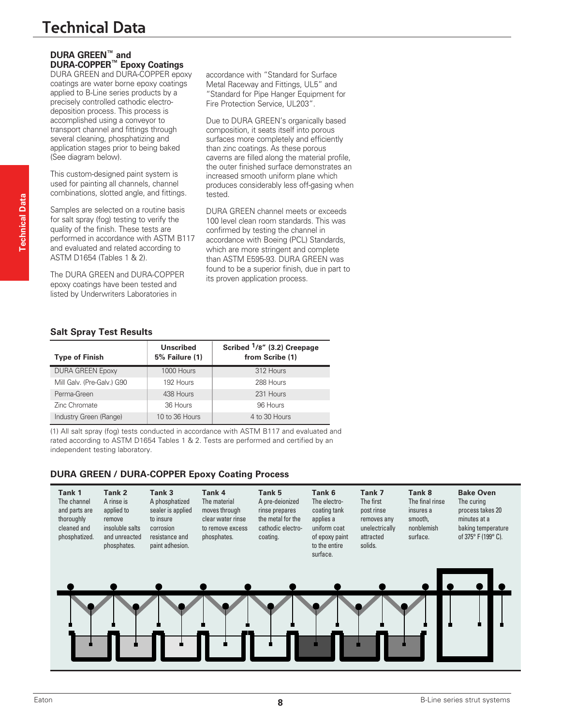# **Technical Data**

# **DURA GREEN™ and DURA-COPPER™ Epoxy Coatings**

DURA GREEN and DURA-COPPER epoxy coatings are water borne epoxy coatings applied to B-Line series products by a precisely controlled cathodic electrodeposition process. This process is accomplished using a conveyor to transport channel and fittings through several cleaning, phosphatizing and application stages prior to being baked (See diagram below).

This custom-designed paint system is used for painting all channels, channel combinations, slotted angle, and fittings.

Samples are selected on a routine basis for salt spray (fog) testing to verify the quality of the finish. These tests are performed in accordance with ASTM B117 and evaluated and related according to ASTM D1654 (Tables 1 & 2).

The DURA GREEN and DURA-COPPER epoxy coatings have been tested and listed by Underwriters Laboratories in

accordance with "Standard for Surface Metal Raceway and Fittings, UL5" and "Standard for Pipe Hanger Equipment for Fire Protection Service, UL203".

Due to DURA GREEN's organically based composition, it seats itself into porous surfaces more completely and efficiently than zinc coatings. As these porous caverns are filled along the material profile, the outer finished surface demonstrates an increased smooth uniform plane which produces considerably less off-gasing when tested.

DURA GREEN channel meets or exceeds 100 level clean room standards. This was confirmed by testing the channel in accordance with Boeing (PCL) Standards, which are more stringent and complete than ASTM E595-93. DURA GREEN was found to be a superior finish, due in part to its proven application process.

## **Salt Spray Test Results**

| <b>Type of Finish</b>      | <b>Unscribed</b><br><b>5% Failure (1)</b> | Scribed <sup>1</sup> /8" (3.2) Creepage<br>from Scribe (1) |
|----------------------------|-------------------------------------------|------------------------------------------------------------|
| <b>DURA GREEN Epoxy</b>    | 1000 Hours                                | 312 Hours                                                  |
| Mill Galv. (Pre-Galv.) G90 | 192 Hours                                 | 288 Hours                                                  |
| Perma-Green                | 438 Hours                                 | 231 Hours                                                  |
| Zinc Chromate              | 36 Hours                                  | 96 Hours                                                   |
| Industry Green (Range)     | 10 to 36 Hours                            | 4 to 30 Hours                                              |

(1) All salt spray (fog) tests conducted in accordance with ASTM B117 and evaluated and rated according to ASTM D1654 Tables 1 & 2. Tests are performed and certified by an independent testing laboratory.

#### **DURA GREEN / DURA-COPPER Epoxy Coating Process**

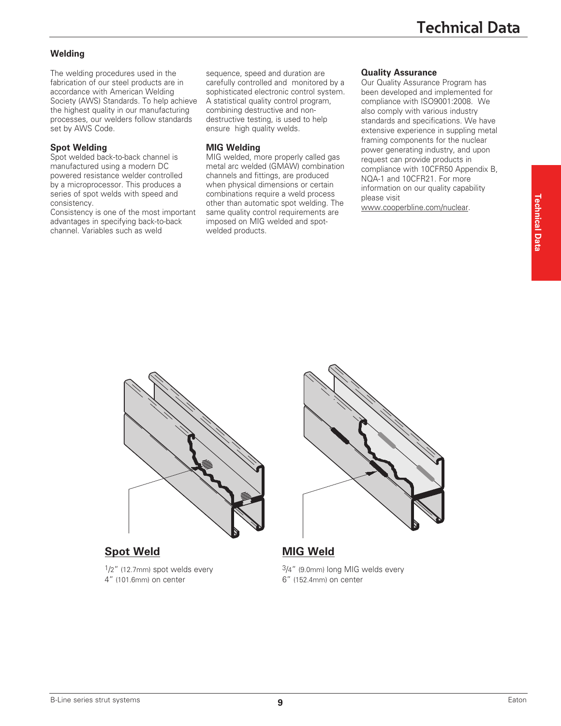# **Welding**

The welding procedures used in the fabrication of our steel products are in accordance with American Welding Society (AWS) Standards. To help achieve the highest quality in our manufacturing processes, our welders follow standards set by AWS Code.

# **Spot Welding**

Spot welded back-to-back channel is manufactured using a modern DC powered resistance welder controlled by a microprocessor. This produces a series of spot welds with speed and consistency.

Consistency is one of the most important advantages in specifying back-to-back channel. Variables such as weld

sequence, speed and duration are carefully controlled and monitored by a sophisticated electronic control system. A statistical quality control program, combining destructive and nondestructive testing, is used to help ensure high quality welds.

# **MIG Welding**

MIG welded, more properly called gas metal arc welded (GMAW) combination channels and fittings, are produced when physical dimensions or certain combinations require a weld process other than automatic spot welding. The same quality control requirements are imposed on MIG welded and spotwelded products.

# **Quality Assurance**

Our Quality Assurance Program has been developed and implemented for compliance with ISO9001:2008. We also comply with various industry standards and specifications. We have extensive experience in suppling metal framing components for the nuclear power generating industry, and upon request can provide products in compliance with 10CFR50 Appendix B, NQA-1 and 10CFR21. For more information on our quality capability please visit

www.cooperbline.com/nuclear.



# **Spot Weld MIG Weld**

 $1/2$ " (12.7mm) spot welds every 4" (101.6mm) on center



3/4" (9.0mm) long MIG welds every 6" (152.4mm) on center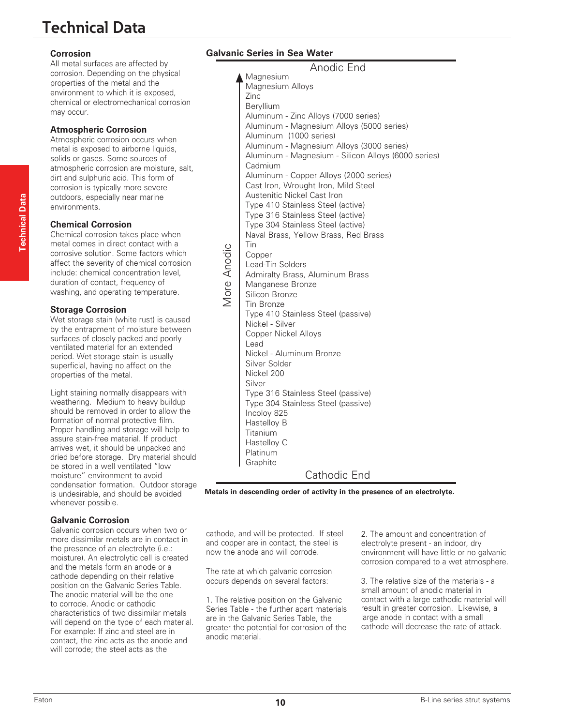# **Technical Data**

#### **Corrosion**

All metal surfaces are affected by corrosion. Depending on the physical properties of the metal and the environment to which it is exposed, chemical or electromechanical corrosion may occur.

#### **Atmospheric Corrosion**

Atmospheric corrosion occurs when metal is exposed to airborne liquids, solids or gases. Some sources of atmospheric corrosion are moisture, salt, dirt and sulphuric acid. This form of corrosion is typically more severe outdoors, especially near marine environments.

#### **Chemical Corrosion**

Chemical corrosion takes place when metal comes in direct contact with a corrosive solution. Some factors which affect the severity of chemical corrosion include: chemical concentration level, duration of contact, frequency of washing, and operating temperature.

### **Storage Corrosion**

Wet storage stain (white rust) is caused by the entrapment of moisture between surfaces of closely packed and poorly ventilated material for an extended period. Wet storage stain is usually superficial, having no affect on the properties of the metal.

Light staining normally disappears with weathering. Medium to heavy buildup should be removed in order to allow the formation of normal protective film. Proper handling and storage will help to assure stain-free material. If product arrives wet, it should be unpacked and dried before storage. Dry material should be stored in a well ventilated "low moisture" environment to avoid condensation formation. Outdoor storage is undesirable, and should be avoided whenever possible.

### **Galvanic Corrosion**

Galvanic corrosion occurs when two or more dissimilar metals are in contact in the presence of an electrolyte (i.e.: moisture). An electrolytic cell is created and the metals form an anode or a cathode depending on their relative position on the Galvanic Series Table. The anodic material will be the one to corrode. Anodic or cathodic characteristics of two dissimilar metals will depend on the type of each material. For example: If zinc and steel are in contact, the zinc acts as the anode and will corrode; the steel acts as the

# **Galvanic Series in Sea Water**

More Anodic

Vlore Anodic

Magnesium Magnesium Alloys Zinc Beryllium Aluminum - Zinc Alloys (7000 series) Aluminum - Magnesium Alloys (5000 series) Aluminum (1000 series) Aluminum - Magnesium Alloys (3000 series) Aluminum - Magnesium - Silicon Alloys (6000 series) Cadmium Aluminum - Copper Alloys (2000 series) Cast Iron, Wrought Iron, Mild Steel Austenitic Nickel Cast Iron Type 410 Stainless Steel (active) Type 316 Stainless Steel (active) Type 304 Stainless Steel (active) Naval Brass, Yellow Brass, Red Brass Tin Copper Lead-Tin Solders Admiralty Brass, Aluminum Brass Manganese Bronze Silicon Bronze Tin Bronze Type 410 Stainless Steel (passive) Nickel - Silver Copper Nickel Alloys Lead Nickel - Aluminum Bronze Silver Solder Nickel 200 Silver Type 316 Stainless Steel (passive) Type 304 Stainless Steel (passive) Incoloy 825 Hastelloy B Titanium Hastelloy C Platinum **Graphite** Anodic End Cathodic End

**Metals in descending order of activity in the presence of an electrolyte.**

cathode, and will be protected. If steel and copper are in contact, the steel is now the anode and will corrode.

The rate at which galvanic corrosion occurs depends on several factors:

1. The relative position on the Galvanic Series Table - the further apart materials are in the Galvanic Series Table, the greater the potential for corrosion of the anodic material.

2. The amount and concentration of electrolyte present - an indoor, dry environment will have little or no galvanic corrosion compared to a wet atmosphere.

3. The relative size of the materials - a small amount of anodic material in contact with a large cathodic material will result in greater corrosion. Likewise, a large anode in contact with a small cathode will decrease the rate of attack.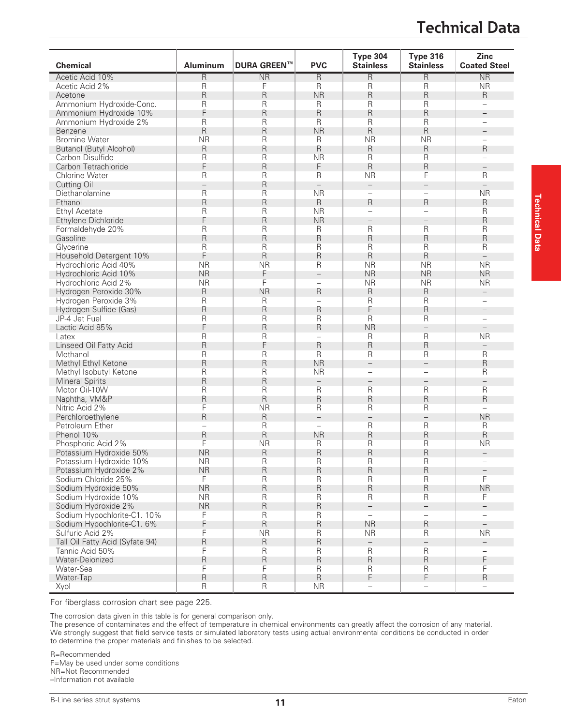# **Technical Data**

| <b>Chemical</b>                 | <b>Aluminum</b>          | <b>DURA GREEN™</b>     | <b>PVC</b>               | <b>Type 304</b><br><b>Stainless</b> | <b>Type 316</b><br><b>Stainless</b> | Zinc<br><b>Coated Steel</b> |
|---------------------------------|--------------------------|------------------------|--------------------------|-------------------------------------|-------------------------------------|-----------------------------|
| Acetic Acid 10%                 | $\mathsf R$              | $\overline{\text{NR}}$ | R                        | R                                   | R                                   | $\overline{\text{NR}}$      |
| Acetic Acid 2%                  | $\mathsf{R}$             | F                      | R                        | R                                   | R                                   | <b>NR</b>                   |
| Acetone                         | $\mathsf R$              | R                      | <b>NR</b>                | R                                   | R                                   | R                           |
| Ammonium Hydroxide-Conc.        | R                        | R                      | R                        | R                                   | $\overline{\mathsf{R}}$             | $\overline{\phantom{0}}$    |
| Ammonium Hydroxide 10%          | F                        | R                      | R                        | R                                   | R                                   |                             |
| Ammonium Hydroxide 2%           | R                        | R                      | R                        | R                                   | $\overline{\mathsf{R}}$             | $\overline{\phantom{0}}$    |
| Benzene                         | $\mathsf R$              | R                      | <b>NR</b>                | R                                   | $\mathsf R$                         |                             |
| <b>Bromine Water</b>            | <b>NR</b>                | R                      | R                        | <b>NR</b>                           | <b>NR</b>                           | $\overline{\phantom{0}}$    |
| Butanol (Butyl Alcohol)         | $\mathsf R$              | R                      | R                        | R                                   | $\mathsf R$                         | R                           |
| Carbon Disulfide                | $\mathsf R$              | R                      | <b>NR</b>                | R                                   | $\overline{\mathsf{R}}$             |                             |
| Carbon Tetrachloride            | F                        | R                      | F                        | R                                   | R                                   | $\qquad \qquad -$           |
| <b>Chlorine Water</b>           | $\mathsf{R}$             | R                      | R                        | <b>NR</b>                           | F                                   | R                           |
| <b>Cutting Oil</b>              | $\overline{\phantom{0}}$ | R                      | $\overline{\phantom{0}}$ | $\qquad \qquad -$                   | $\overline{\phantom{0}}$            | $\overline{\phantom{0}}$    |
| Diethanolamine                  | R                        | R                      | <b>NR</b>                | $\qquad \qquad -$                   | $\overline{\phantom{0}}$            | <b>NR</b>                   |
| Ethanol                         | $\mathsf{R}$             | R                      | R                        | R                                   | R                                   | R                           |
| <b>Ethyl Acetate</b>            | R                        | R                      | <b>NR</b>                | $\overline{\phantom{0}}$            | $\overline{\phantom{0}}$            | R                           |
| Ethylene Dichloride             | F                        | R                      | <b>NR</b>                |                                     |                                     | R                           |
|                                 |                          | R                      | R                        | R                                   | $\mathsf{R}$                        | R                           |
| Formaldehyde 20%                | R                        |                        |                          |                                     |                                     |                             |
| Gasoline                        | R                        | R                      | R                        | R                                   | R                                   | R                           |
| Glycerine                       | $\mathsf R$              | R                      | R                        | R                                   | $\overline{\mathsf{R}}$             | R                           |
| Household Detergent 10%         | F                        | R                      | R                        | R                                   | $\mathsf R$                         | $\equiv$                    |
| Hydrochloric Acid 40%           | <b>NR</b>                | <b>NR</b>              | R                        | <b>NR</b>                           | <b>NR</b>                           | <b>NR</b>                   |
| Hydrochloric Acid 10%           | <b>NR</b>                | F                      | $\overline{\phantom{0}}$ | <b>NR</b>                           | <b>NR</b>                           | <b>NR</b>                   |
| Hydrochloric Acid 2%            | <b>NR</b>                | F                      | $\qquad \qquad -$        | <b>NR</b>                           | <b>NR</b>                           | <b>NR</b>                   |
| Hydrogen Peroxide 30%           | $\mathsf R$              | <b>NR</b>              | R                        | R                                   | $\mathsf R$                         |                             |
| Hydrogen Peroxide 3%            | R                        | R                      | $\overline{\phantom{0}}$ | R                                   | $\overline{\mathsf{R}}$             |                             |
| Hydrogen Sulfide (Gas)          | R                        | R                      | R                        | F                                   | R                                   | $\overline{\phantom{a}}$    |
| JP-4 Jet Fuel                   | $\mathsf R$              | R                      | R                        | R                                   | $\overline{\mathsf{R}}$             | $\equiv$                    |
| Lactic Acid 85%                 | F                        | R                      | R                        | <b>NR</b>                           | $\overline{\phantom{0}}$            |                             |
| Latex                           | $\mathsf{R}$             | R                      | $\equiv$                 | R                                   | $\overline{\mathsf{R}}$             | <b>NR</b>                   |
| Linseed Oil Fatty Acid          | $\mathsf R$              | F                      | R                        | R                                   | R                                   | $\overline{\phantom{0}}$    |
| Methanol                        | $\mathsf{R}$             | R                      | R                        | R                                   | $\mathsf{R}$                        | R                           |
| Methyl Ethyl Ketone             | $\mathsf R$              | R                      | <b>NR</b>                | $\overline{\phantom{0}}$            | $\overline{\phantom{0}}$            | R                           |
| Methyl Isobutyl Ketone          | $\mathsf{R}$             | R                      | <b>NR</b>                | $\qquad \qquad -$                   |                                     | R                           |
| <b>Mineral Spirits</b>          | $\mathsf R$              | R                      | $\overline{\phantom{0}}$ | $\qquad \qquad -$                   | $\qquad \qquad -$                   | $\overline{\phantom{0}}$    |
| Motor Oil-10W                   | R                        | R                      | R                        | R                                   | R                                   | R                           |
| Naphtha, VM&P                   | R                        | R                      | R                        | R                                   | R                                   | R                           |
| Nitric Acid 2%                  | F                        | <b>NR</b>              | R                        | R                                   | $\overline{\mathsf{R}}$             |                             |
| Perchloroethylene               | R                        | R                      | $\overline{\phantom{0}}$ | $\overline{\phantom{0}}$            | $\overline{\phantom{0}}$            | <b>NR</b>                   |
| Petroleum Ether                 | $\overline{\phantom{0}}$ | R                      | $\qquad \qquad -$        | R                                   | $\overline{\mathsf{R}}$             | R                           |
| Phenol 10%                      | R                        | R                      | <b>NR</b>                | R                                   | $\mathsf R$                         | $\mathsf{R}$                |
| Phosphoric Acid 2%              | F                        | <b>NR</b>              | R                        | R                                   | $\mathsf R$                         | <b>NR</b>                   |
| Potassium Hydroxide 50%         | <b>NR</b>                | R                      | R                        | R                                   | R                                   | $\overline{\phantom{0}}$    |
| Potassium Hydroxide 10%         | <b>NR</b>                | $\mathsf R$            | R                        | $\sf R$                             | $\mathsf R$                         |                             |
| Potassium Hydroxide 2%          | <b>NR</b>                | R                      | R                        | R                                   | $\mathsf R$                         |                             |
| Sodium Chloride 25%             | F                        | R                      | R                        | R                                   | $\mathsf{R}$                        | F                           |
| Sodium Hydroxide 50%            | <b>NR</b>                | R                      | R                        | R                                   | $\mathsf R$                         | <b>NR</b>                   |
| Sodium Hydroxide 10%            | <b>NR</b>                | R                      | R                        | R                                   | $\mathsf{R}$                        | F                           |
| Sodium Hydroxide 2%             | <b>NR</b>                | R                      | $\sf R$                  | $\equiv$                            | $\overline{\phantom{0}}$            | $\overline{\phantom{0}}$    |
| Sodium Hypochlorite-C1. 10%     | F                        | $\mathsf R$            | R                        | $\qquad \qquad -$                   | $\qquad \qquad -$                   | $\overline{\phantom{0}}$    |
| Sodium Hypochlorite-C1. 6%      | F                        | R                      | R                        | <b>NR</b>                           | $\mathsf R$                         | $\overline{\phantom{0}}$    |
| Sulfuric Acid 2%                | F                        | <b>NR</b>              | $\sf R$                  | <b>NR</b>                           | $\mathsf R$                         | <b>NR</b>                   |
| Tall Oil Fatty Acid (Syfate 94) | $\mathsf R$              | R                      | $\mathsf R$              | $\overline{\phantom{0}}$            |                                     | $\overline{\phantom{0}}$    |
| Tannic Acid 50%                 | F                        | $\mathsf R$            | $\mathsf R$              | R                                   | $\mathsf{R}$                        | $\overline{\phantom{0}}$    |
| Water-Deionized                 | $\mathsf R$              | R                      | R                        | R                                   | $\mathsf R$                         | F                           |
| Water-Sea                       | F                        | F                      | R                        | $\overline{\mathsf{R}}$             | $\sf R$                             | F                           |
| Water-Tap                       | $\mathsf R$              | $\mathsf R$            | $\mathsf R$              | F                                   | F                                   | $\mathsf R$                 |
| Xyol                            | $\mathsf R$              | R                      | <b>NR</b>                | $\qquad \qquad -$                   | $\qquad \qquad -$                   |                             |
|                                 |                          |                        |                          |                                     |                                     |                             |

For fiberglass corrosion chart see page 225.

The corrosion data given in this table is for general comparison only.

The presence of contaminates and the effect of temperature in chemical environments can greatly affect the corrosion of any material. We strongly suggest that field service tests or simulated laboratory tests using actual environmental conditions be conducted in order to determine the proper materials and finishes to be selected.

R=Recommended F=May be used under some conditions NR=Not Recommended –Information not available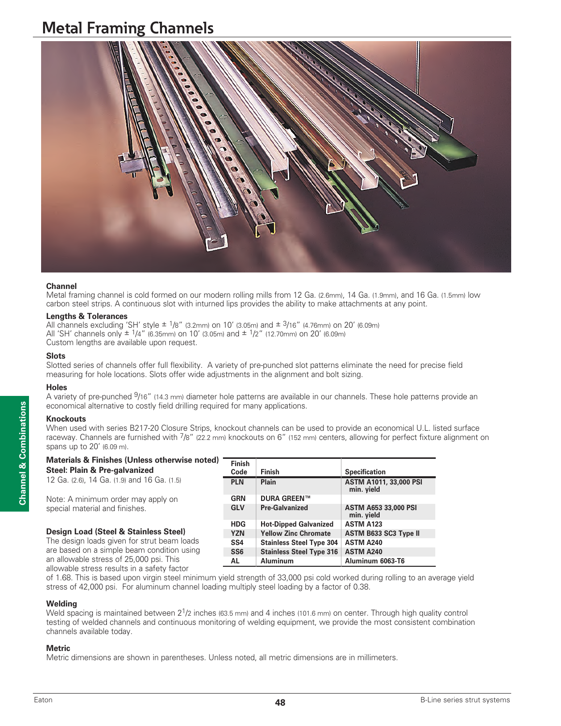# **Metal Framing Channels**



#### **Channel**

Metal framing channel is cold formed on our modern rolling mills from 12 Ga. (2.6mm), 14 Ga. (1.9mm), and 16 Ga. (1.5mm) low carbon steel strips. A continuous slot with inturned lips provides the ability to make attachments at any point.

#### **Lengths & Tolerances**

All channels excluding 'SH' style  $\pm 1/8$ " (3.2mm) on 10' (3.05m) and  $\pm 3/16$ " (4.76mm) on 20' (6.09m) All 'SH' channels only  $\pm$  1/4" (6.35mm) on 10' (3.05m) and  $\pm$  1/2" (12.70mm) on 20' (6.09m) Custom lengths are available upon request.

#### **Slots**

Slotted series of channels offer full flexibility. A variety of pre-punched slot patterns eliminate the need for precise field measuring for hole locations. Slots offer wide adjustments in the alignment and bolt sizing.

#### **Holes**

A variety of pre-punched <sup>9</sup>/16" (14.3 mm) diameter hole patterns are available in our channels. These hole patterns provide an economical alternative to costly field drilling required for many applications.

#### **Knockouts**

When used with series B217-20 Closure Strips, knockout channels can be used to provide an economical U.L. listed surface raceway. Channels are furnished with  $\frac{7}{8}$ " (22.2 mm) knockouts on 6" (152 mm) centers, allowing for perfect fixture alignment on spans up to 20' (6.09 m).

| Materials & Finishes (Unless otherwise noted) |  |
|-----------------------------------------------|--|
|-----------------------------------------------|--|

| Steel: Plain & Pre-galvanized               | Finish<br>Code  | <b>Finish</b>                   | <b>Specification</b>                      |
|---------------------------------------------|-----------------|---------------------------------|-------------------------------------------|
| 12 Ga. (2.6), 14 Ga. (1.9) and 16 Ga. (1.5) | <b>PLN</b>      | Plain                           | ASTM A1011, 33,000 P<br>min. yield        |
| Note: A minimum order may apply on          | <b>GRN</b>      | <b>DURA GREEN™</b>              |                                           |
| special material and finishes.              | <b>GLV</b>      | <b>Pre-Galvanized</b>           | <b>ASTM A653 33,000 PSI</b><br>min. yield |
|                                             | <b>HDG</b>      | <b>Hot-Dipped Galvanized</b>    | <b>ASTM A123</b>                          |
| Design Load (Steel & Stainless Steel)       | <b>YZN</b>      | <b>Yellow Zinc Chromate</b>     | ASTM B633 SC3 Type I                      |
| The design loads given for strut beam loads | SS <sub>4</sub> | <b>Stainless Steel Type 304</b> | ASTM A240                                 |

#### The design loads given for strut beam loads are based on a simple beam condition using an allowable stress of 25,000 psi. This allowable stress results in a safety factor

of 1.68. This is based upon virgin steel minimum yield strength of 33,000 psi cold worked during rolling to an average yield stress of 42,000 psi. For aluminum channel loading multiply steel loading by a factor of 0.38.

**SS6 Stainless Steel Type 316 ASTM A240 AL Aluminum Aluminum 6063-T6**

#### **Welding**

Weld spacing is maintained between 2<sup>1</sup>/2 inches (63.5 mm) and 4 inches (101.6 mm) on center. Through high quality control testing of welded channels and continuous monitoring of welding equipment, we provide the most consistent combination channels available today.

#### **Metric**

Metric dimensions are shown in parentheses. Unless noted, all metric dimensions are in millimeters.

**PLN Plain ASTM A1011, 33,000 PSI**

**Type II**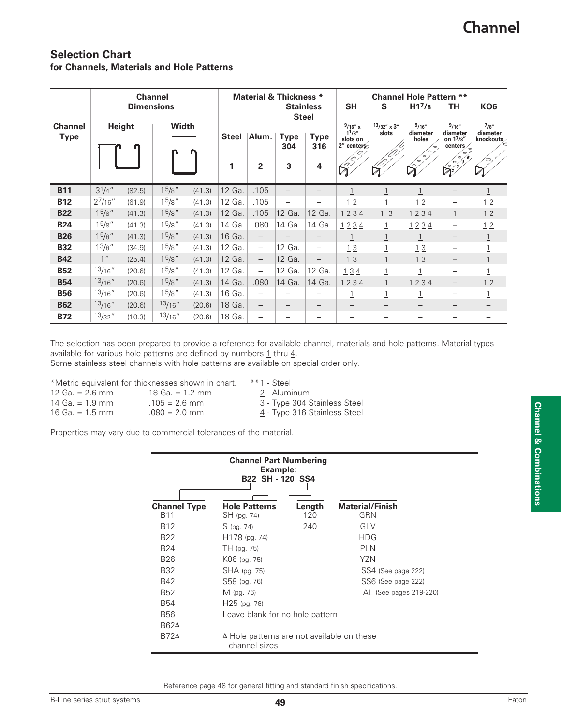# **Selection Chart for Channels, Materials and Hole Patterns**

| <b>Channel</b>                |                    |                   |                    |        |                |                                  | <b>Material &amp; Thickness *</b> |                          | <b>Channel Hole Pattern **</b>                         |                               |                             |                                                        |                                 |
|-------------------------------|--------------------|-------------------|--------------------|--------|----------------|----------------------------------|-----------------------------------|--------------------------|--------------------------------------------------------|-------------------------------|-----------------------------|--------------------------------------------------------|---------------------------------|
|                               |                    | <b>Dimensions</b> |                    |        |                | <b>Stainless</b><br><b>Steel</b> |                                   |                          | <b>SH</b>                                              | KO <sub>6</sub>               |                             |                                                        |                                 |
| <b>Channel</b><br><b>Type</b> | <b>Height</b>      |                   | <b>Width</b>       |        | <b>Steel</b>   | Alum.                            | <b>Type</b><br>304                | Type<br>316              | $9/16''$ x<br>$1^{1}/8''$<br>slots on<br>$2''$ centers | $13/32'' \times 3''$<br>slots | 9/16''<br>diameter<br>holes | 9/16''<br>diameter<br>on 17/8"<br>centers <sub>o</sub> | 7/8''<br>diameter<br>knockouts/ |
|                               |                    |                   |                    | n      | $\overline{1}$ | $\overline{2}$                   | $\overline{3}$                    | $\overline{4}$           | $\sqrt{27}$                                            | $\mathbb{Z}^2$                | $\sim$<br>$\mathbb{R}$      |                                                        | ∕⇔<br>$\boxtimes$               |
| <b>B11</b>                    | $3^{1}/4$ "        | (82.5)            | $1^5/8$ "          | (41.3) | 12 Ga.         | .105                             |                                   |                          | 1                                                      | $\mathbf{1}$                  | $\mathbf{1}$                |                                                        | $\overline{1}$                  |
| <b>B12</b>                    | $2^{7}/16''$       | (61.9)            | 15/8"              | (41.3) | 12 Ga.         | .105                             |                                   |                          | 12                                                     | $\overline{1}$                | 12                          |                                                        | 12                              |
| <b>B22</b>                    | 1 <sup>5</sup> /8" | (41.3)            | 15/8"              | (41.3) | 12 Ga.         | .105                             | 12 Ga.                            | 12 Ga.                   | 1234                                                   | 13                            | 1234                        | $\perp$                                                | 12                              |
| <b>B24</b>                    | $1^5/8$ "          | (41.3)            | $1^5/8$ "          | (41.3) | 14 Ga.         | .080                             | 14 Ga.                            | 14 Ga.                   | 1234                                                   | $\perp$                       | 1234                        | $\overline{\phantom{m}}$                               | 12                              |
| <b>B26</b>                    | $1^{\frac{5}{8}}$  | (41.3)            | 15/8"              | (41.3) | 16 Ga.         | $\overline{\phantom{m}}$         |                                   |                          | 1                                                      |                               | $\overline{1}$              |                                                        | $\perp$                         |
| <b>B32</b>                    | 1 <sup>3</sup> /8" | (34.9)            | 15/8"              | (41.3) | 12 Ga.         | $\overline{\phantom{m}}$         | 12 Ga.                            | $\overline{\phantom{m}}$ | 13                                                     | $\overline{1}$                | 13                          | -                                                      | $\overline{1}$                  |
| <b>B42</b>                    | 1 <sup>''</sup>    | (25.4)            | $1^{\frac{5}{8}}$  | (41.3) | 12 Ga.         | $\overline{\phantom{m}}$         | 12 Ga.                            |                          | 13                                                     |                               | 13                          |                                                        | $\overline{1}$                  |
| <b>B52</b>                    | 13/16''            | (20.6)            | 1 <sup>5</sup> /8" | (41.3) | 12 Ga.         | $\qquad \qquad -$                | 12 Ga.                            | 12 Ga.                   | 134                                                    | $\overline{1}$                | $\perp$                     |                                                        | $\overline{1}$                  |
| <b>B54</b>                    | 13/16''            | (20.6)            | 15/8"              | (41.3) | 14 Ga.         | .080                             | 14 Ga.                            | 14 Ga.                   | 1234                                                   |                               | 1234                        | $\qquad \qquad -$                                      | 12                              |
| <b>B56</b>                    | 13/16''            | (20.6)            | $1^5/8$ "          | (41.3) | 16 Ga.         | $\overline{\phantom{m}}$         |                                   |                          | $\overline{1}$                                         | $\overline{1}$                | $\perp$                     |                                                        | $\perp$                         |
| <b>B62</b>                    | 13/16''            | (20.6)            | 13/16''            | (20.6) | 18 Ga.         | $\overline{\phantom{m}}$         |                                   |                          |                                                        |                               |                             |                                                        |                                 |
| <b>B72</b>                    | 13/32''            | (10.3)            | 13/16''            | (20.6) | 18 Ga.         |                                  |                                   |                          |                                                        |                               |                             |                                                        |                                 |

The selection has been prepared to provide a reference for available channel, materials and hole patterns. Material types available for various hole patterns are defined by numbers  $1$  thru  $4$ .

Some stainless steel channels with hole patterns are available on special order only.

|                   | *Metric equivalent for thicknesses shown in chart. | $**1$ - Steel                |
|-------------------|----------------------------------------------------|------------------------------|
| 12 Ga. $= 2.6$ mm | 18 Ga. $= 1.2$ mm                                  | 2 - Aluminum                 |
| $14$ Ga. = 1.9 mm | $.105 = 2.6$ mm                                    | 3 - Type 304 Stainless Steel |
| 16 Ga. $= 1.5$ mm | $.080 = 2.0$ mm                                    | 4 - Type 316 Stainless Steel |

Properties may vary due to commercial tolerances of the material.

| <b>Channel Part Numbering</b><br>Example:<br>B22 SH - 120 SS4 |                                                                    |        |                        |  |  |  |  |  |
|---------------------------------------------------------------|--------------------------------------------------------------------|--------|------------------------|--|--|--|--|--|
| <b>Channel Type</b>                                           | <b>Hole Patterns</b>                                               | Length | <b>Material/Finish</b> |  |  |  |  |  |
| B11                                                           | SH (pg. 74)                                                        | 120    | GRN                    |  |  |  |  |  |
| B <sub>12</sub>                                               | S (pg. 74)                                                         | 240    | GLV                    |  |  |  |  |  |
| B22                                                           | H178 (pg. 74)                                                      |        | <b>HDG</b>             |  |  |  |  |  |
| <b>B24</b>                                                    | TH (pg. 75)                                                        |        | PI N                   |  |  |  |  |  |
| <b>B26</b>                                                    | K06 (pg. 75)                                                       |        | Y7N                    |  |  |  |  |  |
| <b>B32</b>                                                    | SHA (pg. 75)                                                       |        | SS4 (See page 222)     |  |  |  |  |  |
| <b>B42</b>                                                    | S58 (pg. 76)                                                       |        | SS6 (See page 222)     |  |  |  |  |  |
| <b>B52</b>                                                    | M (pg. 76)                                                         |        | AL (See pages 219-220) |  |  |  |  |  |
| <b>B54</b>                                                    | $H25$ (pg. 76)                                                     |        |                        |  |  |  |  |  |
| <b>B56</b>                                                    | Leave blank for no hole pattern                                    |        |                        |  |  |  |  |  |
| $B62\Delta$                                                   |                                                                    |        |                        |  |  |  |  |  |
| $B72\Delta$                                                   | $\Delta$ Hole patterns are not available on these<br>channel sizes |        |                        |  |  |  |  |  |

Reference page 48 for general fitting and standard finish specifications.